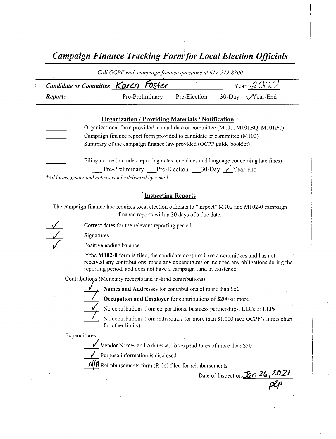Campaign Finance Tracking Form for Local Election Officials

| Call OCPF with campaign finance questions at 617-979-8300 |                              |  |                           |  |
|-----------------------------------------------------------|------------------------------|--|---------------------------|--|
| Candidate or Committee Karch Foster                       |                              |  | Year $2020$               |  |
| Report:                                                   | Pre-Preliminary Pre-Election |  | 30-Day $\sqrt{Y}$ ear-End |  |

| Organization / Providing Materials / Notification * |                                                                                                                                                                                                                                                                                                                                                                                                                              |  |  |
|-----------------------------------------------------|------------------------------------------------------------------------------------------------------------------------------------------------------------------------------------------------------------------------------------------------------------------------------------------------------------------------------------------------------------------------------------------------------------------------------|--|--|
|                                                     | Organizational form provided to candidate or committee (M101, M101BQ, M101PC)                                                                                                                                                                                                                                                                                                                                                |  |  |
|                                                     | Campaign finance report form provided to candidate or committee (M102)                                                                                                                                                                                                                                                                                                                                                       |  |  |
|                                                     | Summary of the campaign finance law provided (OCPF guide booklet)                                                                                                                                                                                                                                                                                                                                                            |  |  |
|                                                     | Filing notice (includes reporting dates, due dates and language concerning late fines)<br>$\mathbf{p}$ $\mathbf{p}$ $\mathbf{r}$ $\mathbf{r}$ $\mathbf{r}$ $\mathbf{r}$ $\mathbf{r}$ $\mathbf{r}$ $\mathbf{r}$ $\mathbf{r}$ $\mathbf{r}$ $\mathbf{r}$ $\mathbf{r}$ $\mathbf{r}$ $\mathbf{r}$ $\mathbf{r}$ $\mathbf{r}$ $\mathbf{r}$ $\mathbf{r}$ $\mathbf{r}$ $\mathbf{r}$ $\mathbf{r}$ $\mathbf{r}$ $\mathbf{r}$ $\mathbf{$ |  |  |

Pre-Preliminary Pre-Election  $30$ -Day V Year-end

\*All forms, guides and notices can be delivered by e-mail

#### **Inspecting Reports**

The campaign finance law requires local election officials to "inspect" M102 and M102-0 campaign finance reports within 30 days of <sup>a</sup> due date.

Correct dates for the relevant reporting period

Signatures



Positive ending balance

If the M102-0 form is filed, the candidate does not have a committees and has not received any contributions, made any expenditures or incurred any obligations during the reporting period, and does not have a campaign fund in existence.

Contributions (Monetary receipts and in-kind contributions)

Names and Addresses for contributions of more than \$50



Occupation and Employer for contributions of \$200 or more

 $\mathbf{V}_r$  No contributions from corporations, business partnerships, LLCs or LLF

No contributions from individuals for more than \$1,000 (see OCPF's limits chart for other limits)

Expenditures

 $\overline{V}$  Vendor Names and Addresses for expenditures of more than \$50

Purpose information is disclosed

 $\sqrt{\theta}$  Reimbursements form (R-1s) filed for reimbursements

Date of Inspection  $\frac{\pi}{2}$  26, 2021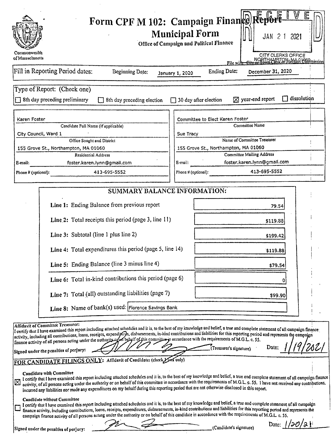| Commonwealth<br>of Massachusetts                                                                                                                                                                                                                                                                                                                                                                                                                                                                                                                                                                                                                                                                                                                                                                                                                                                                                                                                                                                                                         | Form CPF M 102: Campaign Finance Report<br><b>Municipal Form</b><br>JAN 2 1 2021<br>Office of Campaign and Political Finance<br><b>CITY CLERKS OFFICE</b><br>NORTHAMPLOPHAGOR COMmission<br>File wit <del>h-</del>                                                                                                                                                                                                                                                                                                                                                                                                              |
|----------------------------------------------------------------------------------------------------------------------------------------------------------------------------------------------------------------------------------------------------------------------------------------------------------------------------------------------------------------------------------------------------------------------------------------------------------------------------------------------------------------------------------------------------------------------------------------------------------------------------------------------------------------------------------------------------------------------------------------------------------------------------------------------------------------------------------------------------------------------------------------------------------------------------------------------------------------------------------------------------------------------------------------------------------|---------------------------------------------------------------------------------------------------------------------------------------------------------------------------------------------------------------------------------------------------------------------------------------------------------------------------------------------------------------------------------------------------------------------------------------------------------------------------------------------------------------------------------------------------------------------------------------------------------------------------------|
| Fill in Reporting Period dates:<br><b>Beginning Date:</b>                                                                                                                                                                                                                                                                                                                                                                                                                                                                                                                                                                                                                                                                                                                                                                                                                                                                                                                                                                                                | <b>Ending Date:</b><br>December 31, 2020<br>January 1, 2020                                                                                                                                                                                                                                                                                                                                                                                                                                                                                                                                                                     |
| Type of Report: (Check one)                                                                                                                                                                                                                                                                                                                                                                                                                                                                                                                                                                                                                                                                                                                                                                                                                                                                                                                                                                                                                              |                                                                                                                                                                                                                                                                                                                                                                                                                                                                                                                                                                                                                                 |
| 8th day preceding preliminary<br>$\Box$ 8th day preceding election                                                                                                                                                                                                                                                                                                                                                                                                                                                                                                                                                                                                                                                                                                                                                                                                                                                                                                                                                                                       | dissolution<br>$\boxtimes$ year-end report<br>$\Box$ 30 day after election                                                                                                                                                                                                                                                                                                                                                                                                                                                                                                                                                      |
| Karen Foster<br>Candidate Full Name (if applicable)<br>City Council, Ward 1<br>Office Sought and District                                                                                                                                                                                                                                                                                                                                                                                                                                                                                                                                                                                                                                                                                                                                                                                                                                                                                                                                                | Committee to Elect Karen Foster<br>Committee Name<br>Sue Tracy<br>Name of Committee Treasurer<br>155 Grove St., Northampton, MA 01060                                                                                                                                                                                                                                                                                                                                                                                                                                                                                           |
| 155 Grove St., Northampton, MA 01060<br>Residential Address                                                                                                                                                                                                                                                                                                                                                                                                                                                                                                                                                                                                                                                                                                                                                                                                                                                                                                                                                                                              | <b>Committee Mailing Address</b>                                                                                                                                                                                                                                                                                                                                                                                                                                                                                                                                                                                                |
| E-mail:<br>foster.karen.lynn@gmail.com                                                                                                                                                                                                                                                                                                                                                                                                                                                                                                                                                                                                                                                                                                                                                                                                                                                                                                                                                                                                                   | foster.karen.lynn@gmail.com<br>E-mail:<br>413-695-5552                                                                                                                                                                                                                                                                                                                                                                                                                                                                                                                                                                          |
| 413-695-5552<br>Phone # (optional):                                                                                                                                                                                                                                                                                                                                                                                                                                                                                                                                                                                                                                                                                                                                                                                                                                                                                                                                                                                                                      | Phone # (optional):                                                                                                                                                                                                                                                                                                                                                                                                                                                                                                                                                                                                             |
| SUMMARY BALANCE INFORMATION:<br>Line 1: Ending Balance from previous report<br>Line 2: Total receipts this period (page 3, line 11)<br>Line 3: Subtotal (line 1 plus line 2)<br>Line 4: Total expenditures this period (page 5, line 14)<br>Line 5: Ending Balance (line 3 minus line 4)<br>Line 6: Total in-kind contributions this period (page 6)<br>Line 7: Total (all) outstanding liabilities (page 7)<br>Line 8: Name of bank(s) used: Florence Savings Bank<br>Affidavit of Committee Treasurer:<br>Teertify that I have examined this report including attached schedules and it is, to the best of my knowledge and belief, a true and complete statement of all campaign finance                                                                                                                                                                                                                                                                                                                                                              | 79.54<br>\$119.88<br>\$199.42<br>\$119.88<br>\$79.54<br>\$99.90                                                                                                                                                                                                                                                                                                                                                                                                                                                                                                                                                                 |
| activity, including all contributions, loans, receipts, expendixitys, disbursements, in-kind contributions and liabilities for this reporting period and represents the campaign<br>finance activity of all persons acting under the authority of the behalf of this committee in accordance with the requirements of M.G.L. e. 55.<br>Signed under the penalties of perjury:<br>FOR CANDIDATE FILINGS ONLY: Affidavit of Candidate: (check) Lives only)<br>Candidate with Committee<br>incurred any liabilities nor made any expenditures on my behalf during this reporting period that are not otherwise disclosed in this report.<br>Candidate without Committee<br>finance activity, including contributions, loans, receipts, expenditures, disbursements, in-kind contributions and liabilities for this reporting period and represents the<br>campaign finance activity of all persons acting under the authority or on behalf of this candidate in accordance with the requirements of M.G.L. c. 55.<br>Signed under the penalties of perjury: | Date:<br>(Treasurer's signature)<br>I certify that I have examined this report including attached schedules and it is, to the best of my knowledge and belief, a true and complete statement of all campaign finance<br>activity, of all persons acting under the authority or on behalf of this committee in accordance with the requirements of M.G.L. c. 55. I have not received any contributions.<br>I certify that I have examined this report including attached schedules and it is, to the best of my knowledge and belief, a true and complete statement of all campaign<br>Date: $1/30/2$<br>(Candidate's signature) |

 $\hat{\mathcal{A}}$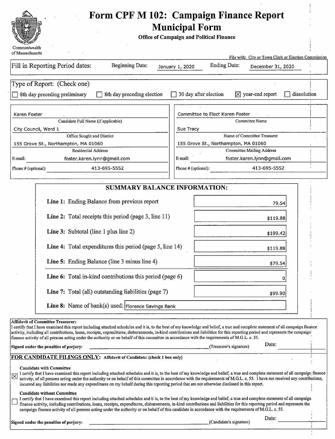| Form CPF M 102: Campaign Finance Report                                                                                                                                                                                                                                                                                                                                                                                                                                                                                                                            |
|--------------------------------------------------------------------------------------------------------------------------------------------------------------------------------------------------------------------------------------------------------------------------------------------------------------------------------------------------------------------------------------------------------------------------------------------------------------------------------------------------------------------------------------------------------------------|
| <b>Municipal Form</b>                                                                                                                                                                                                                                                                                                                                                                                                                                                                                                                                              |
| <b>Office of Campaign and Political Finance</b>                                                                                                                                                                                                                                                                                                                                                                                                                                                                                                                    |
| Commonwealth<br>of Massachusetts                                                                                                                                                                                                                                                                                                                                                                                                                                                                                                                                   |
| File with: City or Town Clerk or Election Commission                                                                                                                                                                                                                                                                                                                                                                                                                                                                                                               |
| <b>Ending Date:</b><br>Fill in Reporting Period dates:<br><b>Beginning Date:</b><br>January 1, 2020<br>December 31, 2020                                                                                                                                                                                                                                                                                                                                                                                                                                           |
| Type of Report: (Check one)                                                                                                                                                                                                                                                                                                                                                                                                                                                                                                                                        |
| $\boxtimes$ year-end report<br>8th day preceding preliminary<br>8th day preceding election<br>30 day after election<br>dissolution                                                                                                                                                                                                                                                                                                                                                                                                                                 |
| Committee to Elect Karen Foster<br>Karen Foster                                                                                                                                                                                                                                                                                                                                                                                                                                                                                                                    |
| Candidate Full Name (if applicable)<br>Committee Name                                                                                                                                                                                                                                                                                                                                                                                                                                                                                                              |
| Sue Tracy<br>City Council, Ward 1<br>Name of Committee Treasurer<br>Office Sought and District                                                                                                                                                                                                                                                                                                                                                                                                                                                                     |
| 155 Grove St., Northampton, MA 01060<br>155 Grove St., Northampton, MA 01060                                                                                                                                                                                                                                                                                                                                                                                                                                                                                       |
| Residential Address<br><b>Committee Mailing Address</b>                                                                                                                                                                                                                                                                                                                                                                                                                                                                                                            |
| E-mail:<br>foster.karen.lynn@gmail.com<br>E-mail:<br>foster.karen.lynn@gmail.com                                                                                                                                                                                                                                                                                                                                                                                                                                                                                   |
| 413-695-5552<br>413-695-5552<br>Phone # (optional):<br>Phone # (optional):                                                                                                                                                                                                                                                                                                                                                                                                                                                                                         |
| <b>SUMMARY BALANCE INFORMATION:</b>                                                                                                                                                                                                                                                                                                                                                                                                                                                                                                                                |
| Line 1: Ending Balance from previous report<br>79.54                                                                                                                                                                                                                                                                                                                                                                                                                                                                                                               |
| Line 2: Total receipts this period (page 3, line 11)<br>\$119.88                                                                                                                                                                                                                                                                                                                                                                                                                                                                                                   |
| Line 3: Subtotal (line 1 plus line 2)<br>\$199.42                                                                                                                                                                                                                                                                                                                                                                                                                                                                                                                  |
| Line 4: Total expenditures this period (page 5, line 14)<br>\$119.88                                                                                                                                                                                                                                                                                                                                                                                                                                                                                               |
| Line 5: Ending Balance (line 3 minus line 4)<br>\$79.54                                                                                                                                                                                                                                                                                                                                                                                                                                                                                                            |
| Line 6: Total in-kind contributions this period (page 6)<br>0                                                                                                                                                                                                                                                                                                                                                                                                                                                                                                      |
| Line 7: Total (all) outstanding liabilities (page 7)<br>\$99.90                                                                                                                                                                                                                                                                                                                                                                                                                                                                                                    |
| <b>Line 8:</b> Name of bank(s) used:  Florence Savings Bank                                                                                                                                                                                                                                                                                                                                                                                                                                                                                                        |
| <b>Affidavit of Committee Treasurer:</b><br>I certify that I have examined this report including attached schedules and it is, to the best of my knowledge and belief, a true and complete statement of all campaign finance<br>activity, including all contributions, loans, receipts, expenditures, disbursements, in-kind contributions and liabilities for this reporting period and represents the campaign<br>finance activity of all persons acting under the authority or on behalf of this committee in accordance with the requirements of M.G.L. c. 55. |
| Date:<br>(Treasurer's signature)<br>Signed under the penalties of perjury:                                                                                                                                                                                                                                                                                                                                                                                                                                                                                         |
| FOR CANDIDATE FILINGS ONLY: Affidavit of Candidate: (check 1 box only)<br><b>Candidate with Committee</b><br>I certify that I have examined this report including attached schedules and it is, to the best of my knowledge and belief, a true and complete statement of all campaign finance<br>activity, of all persons acting under the authority or on behalf of this committee in accordance with the requirements of M.G.L. c. 55. I have not received any contributions,                                                                                    |

incurred any liabilities nor made any expenditures on my behalf during this reporting period that are not otherwise disclosed in this report.

#### Candidate without Committee

I certify that I have examined this report including attached schedules and it is, to the best of my knowledge and belief, <sup>a</sup> true and complete statement of all campaign finance activity, including contributions, loans, receipts, expenditures, disbursements, in- kind contributions and liabilities for this reporting period and represents the campaign finance activity of all persons acting under the authority or on behalf of this candidate in accordance with the requirements of M.G.L. c. 55.

Signed under the penalties of perjury: Candidate' <sup>s</sup> signature)

Date: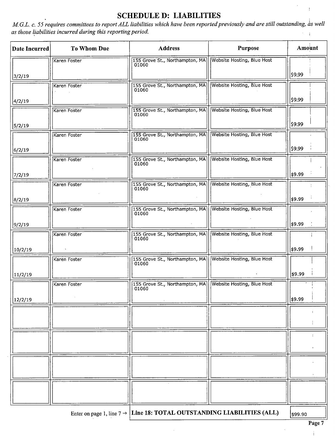# SCHEDULE D: LIABILITIES

M.G.L. c. 55 requires committees to report ALL liabilities which have been reported previously and are still outstanding, as well as those liabilities incurred during this reporting period.

| Date Incurred | <b>To Whom Due</b> | <b>Address</b>                                                                     | Purpose                           | Amount  |
|---------------|--------------------|------------------------------------------------------------------------------------|-----------------------------------|---------|
|               | Karen Foster       | 155 Grove St., Northampton, MA<br>01060                                            | <b>Website Hosting, Blue Host</b> |         |
| 3/2/19        |                    |                                                                                    |                                   | \$9.99  |
|               | Karen Foster       | 155 Grove St., Northampton, MA<br>01060                                            | <b>Website Hosting, Blue Host</b> |         |
| 4/2/19        |                    |                                                                                    |                                   | \$9.99  |
|               | Karen Foster       | 155 Grove St., Northampton, MA<br>01060                                            | <b>Website Hosting, Blue Host</b> |         |
| 5/2/19        |                    |                                                                                    |                                   | \$9.99  |
|               | Karen Foster       | 155 Grove St., Northampton, MA<br>01060                                            | <b>Website Hosting, Blue Host</b> |         |
| 6/2/19        |                    |                                                                                    |                                   | \$9.99  |
|               | Karen Foster       | 155 Grove St., Northampton, MA<br>01060                                            | <b>Website Hosting, Blue Host</b> |         |
| 7/2/19        |                    |                                                                                    |                                   | \$9.99  |
|               | Karen Foster       | 155 Grove St., Northampton, MA<br>01060                                            | <b>Website Hosting, Blue Host</b> |         |
| 8/2/19        |                    |                                                                                    |                                   | \$9.99  |
|               | Karen Foster       | 155 Grove St., Northampton, MA<br>01060                                            | <b>Website Hosting, Blue Host</b> |         |
| 9/2/19        |                    |                                                                                    |                                   | \$9.99  |
|               | Karen Foster       | 155 Grove St., Northampton, MA<br>01060                                            | <b>Website Hosting, Blue Host</b> |         |
| 10/2/19       |                    |                                                                                    |                                   | \$9.99  |
|               | Karen Foster       | 155 Grove St., Northampton, MA<br>01060                                            | <b>Website Hosting, Blue Host</b> |         |
| 11/2/19       |                    |                                                                                    |                                   | \$9.99  |
|               | Karen Foster       | 155 Grove St., Northampton, MA Website Hosting, Blue Host<br>01060                 |                                   |         |
| 12/2/19       |                    |                                                                                    |                                   | \$9.99  |
|               |                    |                                                                                    |                                   |         |
|               |                    |                                                                                    |                                   |         |
|               |                    |                                                                                    |                                   |         |
|               |                    |                                                                                    |                                   |         |
|               |                    |                                                                                    |                                   |         |
|               |                    |                                                                                    |                                   |         |
|               |                    |                                                                                    |                                   |         |
|               |                    |                                                                                    |                                   |         |
|               |                    | Enter on page 1, line $7 \rightarrow$ Line 18: TOTAL OUTSTANDING LIABILITIES (ALL) |                                   | \$99.90 |

 $\bar{z}$ 

 $\frac{1}{2}$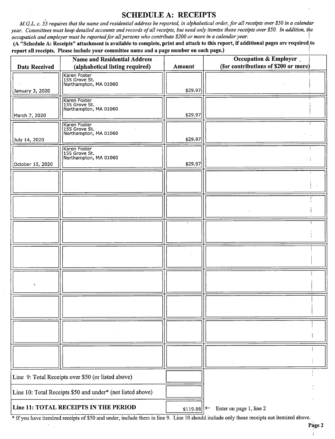#### SCHEDULE A: RECEIPTS

M.G.L. c. 55 requires that the name and residential address be reported, in alphabetical order, for all receipts over \$50 in a calendar year. Committees must keep detailed accounts and records of all receipts, but need only itemize those receipts over \$50. In addition, the occupation and employer must be reported for all persons who contribute \$200 or more in a calendar year.

(A "Schedule A: Receipts" attachment is available to complete, print and attach to this report, if additional pages are required to report all receipts. Please include your committee name and a page number on each page.)

|                                                            | Name and Residential Address                           |                         | Occupation & Employer,               |
|------------------------------------------------------------|--------------------------------------------------------|-------------------------|--------------------------------------|
| <b>Date Received</b>                                       | (alphabetical listing required)                        | Amount                  | (for contributions of \$200 or more) |
|                                                            | Karen Foster<br>155 Grove St.<br>Northampton, MA 01060 |                         |                                      |
|                                                            |                                                        | \$29.97                 |                                      |
| January 3, 2020                                            |                                                        |                         |                                      |
|                                                            | Karen Foster<br>155 Grove St.                          |                         |                                      |
| March 7, 2020                                              | Northampton, MA 01060                                  | \$29.97                 |                                      |
|                                                            |                                                        |                         |                                      |
|                                                            | Karen Foster<br>155 Grove St.<br>Northampton, MA 01060 |                         |                                      |
| July 14, 2020                                              |                                                        | \$29.97                 |                                      |
|                                                            |                                                        |                         |                                      |
|                                                            | Karen Foster<br>155 Grove St.<br>Northampton, MA 01060 |                         |                                      |
| October 15, 2020                                           |                                                        | \$29.97                 |                                      |
|                                                            |                                                        |                         |                                      |
|                                                            |                                                        |                         |                                      |
|                                                            |                                                        |                         |                                      |
|                                                            |                                                        |                         |                                      |
|                                                            |                                                        |                         |                                      |
|                                                            |                                                        |                         |                                      |
|                                                            |                                                        |                         |                                      |
|                                                            |                                                        |                         |                                      |
|                                                            |                                                        |                         |                                      |
|                                                            |                                                        |                         |                                      |
|                                                            |                                                        |                         |                                      |
|                                                            |                                                        |                         |                                      |
|                                                            |                                                        |                         |                                      |
|                                                            |                                                        |                         |                                      |
|                                                            |                                                        |                         |                                      |
|                                                            |                                                        |                         |                                      |
|                                                            |                                                        |                         |                                      |
|                                                            |                                                        |                         |                                      |
|                                                            |                                                        |                         |                                      |
|                                                            |                                                        |                         |                                      |
|                                                            |                                                        |                         |                                      |
|                                                            |                                                        |                         |                                      |
|                                                            |                                                        |                         |                                      |
|                                                            |                                                        |                         |                                      |
| Line 9: Total Receipts over \$50 (or listed above)         |                                                        |                         |                                      |
| Line 10: Total Receipts \$50 and under* (not listed above) |                                                        |                         |                                      |
|                                                            |                                                        |                         |                                      |
|                                                            | Line 11: TOTAL RECEIPTS IN THE PERIOD                  | $ 119.88 $ $\leftarrow$ | Enter on page 1, line 2              |

<sup>\*</sup> If you have itemized receipts of \$50 and under, include them in line 9. Line 10 should include only those receipts not itemized above.

 $\hat{I}$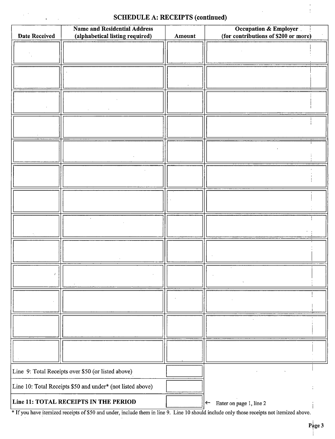## SCHEDULE A: RECEIPTS (continued)

 $\frac{1}{2}$  ,  $\frac{1}{2}$ 

 $\bar{z}$ 

| <b>Date Received</b> | <b>Name and Residential Address</b><br>(alphabetical listing required) | Amount | Occupation & Employer<br>(for contributions of \$200 or more) |
|----------------------|------------------------------------------------------------------------|--------|---------------------------------------------------------------|
|                      |                                                                        |        |                                                               |
|                      |                                                                        |        |                                                               |
|                      |                                                                        |        |                                                               |
|                      |                                                                        |        |                                                               |
|                      |                                                                        |        |                                                               |
|                      |                                                                        |        |                                                               |
|                      |                                                                        |        |                                                               |
|                      |                                                                        |        |                                                               |
|                      |                                                                        |        |                                                               |
|                      |                                                                        |        | $\Lambda$                                                     |
|                      |                                                                        |        |                                                               |
|                      |                                                                        |        |                                                               |
|                      |                                                                        |        |                                                               |
|                      | Line 9: Total Receipts over \$50 (or listed above)                     |        |                                                               |
|                      | Line 10: Total Receipts \$50 and under* (not listed above)             |        |                                                               |
|                      | Line 11: TOTAL RECEIPTS IN THE PERIOD                                  |        | Enter on page 1, line 2<br>$\leftarrow$                       |

<sup>\*</sup> If you have itemized receipts of \$50 and under, include them in line 9. Line 10 should include only those receipts not itemized above.

 $\mathbf{I}$ Ť.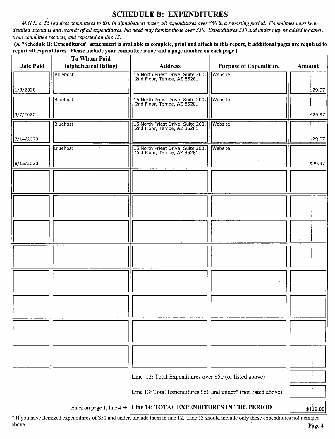### SCHEDULE B: EXPENDITURES

M.G.L. c. 55 requires committees to list, in alphabetical order, all expenditures over\$ 50 in a reporting period. Committees must keep detailed accounts and records of all expenditures, but need only itemize those over \$50. Expenditures \$50 and under may be added together, from committee records, and reported on line 13.

A" Schedule B: Expenditures" attachment is available to complete, print and attach to this report, if additional pages are required to report all expenditures. Please include your committee name and a page number on each page.)

|                                                                | <b>To Whom Paid</b>    |                                                                                 |                               |               |
|----------------------------------------------------------------|------------------------|---------------------------------------------------------------------------------|-------------------------------|---------------|
| Date Paid                                                      | (alphabetical listing) | <b>Address</b>                                                                  | <b>Purpose of Expenditure</b> | <b>Amount</b> |
|                                                                | Bluehost               | 15 North Priest Drive, Suite 200,<br>2nd Floor, Tempe, AZ 85281                 | Website                       |               |
|                                                                |                        |                                                                                 |                               |               |
| 1/3/2020                                                       |                        |                                                                                 |                               | \$29.97       |
|                                                                | <b>Bluehost</b>        | 15 North Priest Drive, Suite 200,<br>2nd Floor, Tempe, AZ 85281                 | Website                       |               |
|                                                                |                        |                                                                                 |                               |               |
| 3/7/2020                                                       |                        |                                                                                 |                               | \$29.97       |
|                                                                | <b>Bluehost</b>        | 15 North Priest Drive, Suite 200,<br>2nd Floor, Tempe, AZ 85281                 | Website                       |               |
|                                                                |                        |                                                                                 |                               |               |
| 7/14/2020                                                      |                        |                                                                                 |                               | \$29.97       |
|                                                                | Bluehost               | 15 North Priest Drive, Suite 200,<br>2nd Floor, Tempe, AZ 85281                 | <b>Website</b>                |               |
|                                                                |                        |                                                                                 |                               |               |
| 8/15/2020                                                      |                        |                                                                                 |                               | \$29.97       |
|                                                                |                        |                                                                                 |                               |               |
|                                                                |                        |                                                                                 |                               |               |
|                                                                |                        |                                                                                 |                               |               |
|                                                                |                        |                                                                                 |                               |               |
|                                                                |                        |                                                                                 |                               |               |
|                                                                |                        |                                                                                 |                               |               |
|                                                                |                        |                                                                                 |                               |               |
|                                                                |                        |                                                                                 |                               |               |
|                                                                |                        |                                                                                 |                               |               |
|                                                                |                        |                                                                                 |                               |               |
|                                                                |                        |                                                                                 |                               |               |
|                                                                |                        |                                                                                 |                               |               |
|                                                                |                        |                                                                                 |                               |               |
|                                                                |                        |                                                                                 |                               |               |
|                                                                |                        |                                                                                 |                               |               |
|                                                                |                        |                                                                                 |                               |               |
|                                                                |                        |                                                                                 |                               |               |
|                                                                |                        |                                                                                 |                               |               |
|                                                                |                        |                                                                                 |                               |               |
|                                                                |                        |                                                                                 |                               |               |
|                                                                |                        |                                                                                 |                               |               |
|                                                                |                        |                                                                                 |                               |               |
|                                                                |                        |                                                                                 |                               |               |
|                                                                |                        |                                                                                 |                               |               |
|                                                                |                        |                                                                                 |                               |               |
|                                                                |                        | Line 12: Total Expenditures over \$50 (or listed above)                         |                               |               |
| Line 13: Total Expenditures \$50 and under* (not listed above) |                        |                                                                                 |                               |               |
|                                                                |                        | Enter on page 1, line $4 \rightarrow$ Line 14: TOTAL EXPENDITURES IN THE PERIOD |                               | \$119.88      |

<sup>\*</sup> If you have itemized expenditures of \$50 and under, include them in line 12. Line 13 should include only those expenditures not itemized above. above. **Page 4** and  $\mathbf{P}$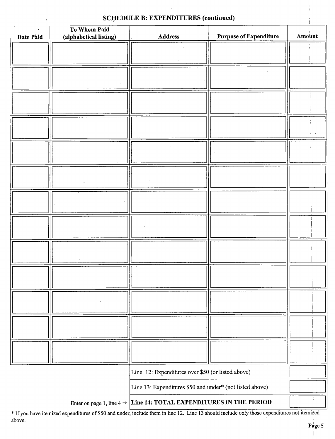#### SCHEDULE B: EXPENDITURES (continued)

| Date Paid | To Whom Paid<br>(alphabetical listing) | Address                                                  | <b>Purpose of Expenditure</b> | Amount |
|-----------|----------------------------------------|----------------------------------------------------------|-------------------------------|--------|
|           |                                        |                                                          |                               |        |
|           |                                        |                                                          |                               |        |
|           |                                        |                                                          |                               |        |
|           |                                        |                                                          |                               |        |
|           |                                        |                                                          |                               |        |
|           |                                        |                                                          |                               |        |
|           |                                        |                                                          |                               |        |
|           |                                        |                                                          |                               |        |
|           |                                        |                                                          |                               |        |
|           |                                        |                                                          |                               |        |
|           |                                        |                                                          |                               |        |
|           |                                        |                                                          |                               |        |
|           |                                        |                                                          |                               |        |
|           |                                        |                                                          |                               |        |
|           |                                        |                                                          |                               |        |
|           |                                        |                                                          |                               |        |
|           |                                        |                                                          |                               |        |
|           |                                        |                                                          |                               |        |
|           |                                        |                                                          |                               |        |
|           |                                        |                                                          |                               |        |
|           |                                        |                                                          |                               |        |
|           |                                        |                                                          | $\epsilon$                    |        |
|           |                                        |                                                          |                               |        |
|           |                                        | Line 12: Expenditures over \$50 (or listed above)        |                               |        |
|           |                                        | Line 13: Expenditures \$50 and under* (not listed above) |                               |        |

Enter on page 1, line  $4 \rightarrow$  Line 14: TOTAL EXPENDITURES IN THE PERIOD

\* If you have itemized expenditures of \$50 and under, include them in line 12. Line 13 should include only those expenditures not itemized above. Page 5

 $\frac{1}{4}$